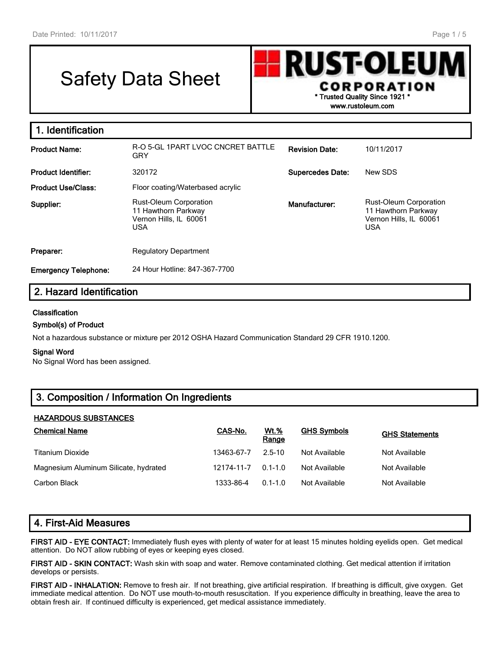# Safety Data Sheet



**1. Identification Product Name:** R-O 5-GL 1PART LVOC CNCRET BATTLE GRY **Revision Date:** 10/11/2017 **Product Identifier:** 320172 **Supercedes Date:** New SDS **Product Use/Class:** Floor coating/Waterbased acrylic **Supplier:** Rust-Oleum Corporation 11 Hawthorn Parkway Vernon Hills, IL 60061 USA **Manufacturer:** Rust-Oleum Corporation 11 Hawthorn Parkway Vernon Hills, IL 60061 USA **Preparer:** Regulatory Department **Emergency Telephone:** 24 Hour Hotline: 847-367-7700

# **2. Hazard Identification**

### **Classification**

### **Symbol(s) of Product**

Not a hazardous substance or mixture per 2012 OSHA Hazard Communication Standard 29 CFR 1910.1200.

#### **Signal Word**

No Signal Word has been assigned.

# **3. Composition / Information On Ingredients**

### **HAZARDOUS SUBSTANCES**

| <b>Chemical Name</b>                  | CAS-No.    | <u>Wt.%</u><br>Range | <b>GHS Symbols</b> | <b>GHS Statements</b> |
|---------------------------------------|------------|----------------------|--------------------|-----------------------|
| <b>Titanium Dioxide</b>               | 13463-67-7 | $2.5 - 10$           | Not Available      | Not Available         |
| Magnesium Aluminum Silicate, hydrated | 12174-11-7 | $0.1 - 1.0$          | Not Available      | Not Available         |
| Carbon Black                          | 1333-86-4  | $0.1 - 1.0$          | Not Available      | Not Available         |

### **4. First-Aid Measures**

**FIRST AID - EYE CONTACT:** Immediately flush eyes with plenty of water for at least 15 minutes holding eyelids open. Get medical attention. Do NOT allow rubbing of eyes or keeping eyes closed.

**FIRST AID - SKIN CONTACT:** Wash skin with soap and water. Remove contaminated clothing. Get medical attention if irritation develops or persists.

**FIRST AID - INHALATION:** Remove to fresh air. If not breathing, give artificial respiration. If breathing is difficult, give oxygen. Get immediate medical attention. Do NOT use mouth-to-mouth resuscitation. If you experience difficulty in breathing, leave the area to obtain fresh air. If continued difficulty is experienced, get medical assistance immediately.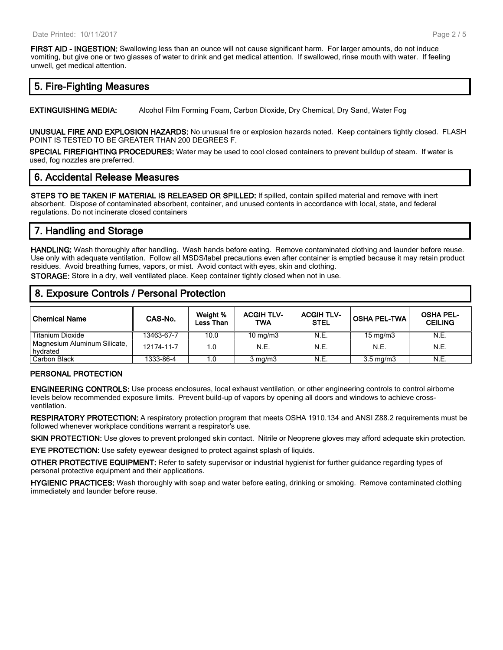**FIRST AID - INGESTION:** Swallowing less than an ounce will not cause significant harm. For larger amounts, do not induce vomiting, but give one or two glasses of water to drink and get medical attention. If swallowed, rinse mouth with water. If feeling unwell, get medical attention.

### **5. Fire-Fighting Measures**

**EXTINGUISHING MEDIA:** Alcohol Film Forming Foam, Carbon Dioxide, Dry Chemical, Dry Sand, Water Fog

**UNUSUAL FIRE AND EXPLOSION HAZARDS:** No unusual fire or explosion hazards noted. Keep containers tightly closed. FLASH POINT IS TESTED TO BE GREATER THAN 200 DEGREES F.

**SPECIAL FIREFIGHTING PROCEDURES:** Water may be used to cool closed containers to prevent buildup of steam. If water is used, fog nozzles are preferred.

### **6. Accidental Release Measures**

**STEPS TO BE TAKEN IF MATERIAL IS RELEASED OR SPILLED:** If spilled, contain spilled material and remove with inert absorbent. Dispose of contaminated absorbent, container, and unused contents in accordance with local, state, and federal regulations. Do not incinerate closed containers

# **7. Handling and Storage**

**HANDLING:** Wash thoroughly after handling. Wash hands before eating. Remove contaminated clothing and launder before reuse. Use only with adequate ventilation. Follow all MSDS/label precautions even after container is emptied because it may retain product residues. Avoid breathing fumes, vapors, or mist. Avoid contact with eyes, skin and clothing.

**STORAGE:** Store in a dry, well ventilated place. Keep container tightly closed when not in use.

### **8. Exposure Controls / Personal Protection**

| <b>Chemical Name</b>                     | CAS-No.    | Weight %<br><b>Less Than</b> | <b>ACGIH TLV-</b><br>TWA | <b>ACGIH TLV-</b><br><b>STEL</b> | <b>OSHA PEL-TWA</b> | <b>OSHA PEL-</b><br><b>CEILING</b> |
|------------------------------------------|------------|------------------------------|--------------------------|----------------------------------|---------------------|------------------------------------|
| Titanium Dioxide                         | 13463-67-7 | 10.0                         | $10 \text{ mg/m}$        | N.E.                             | $15 \text{ mg/m}$   | N.E.                               |
| Magnesium Aluminum Silicate,<br>hvdrated | 12174-11-7 | 1.0                          | N.E.                     | N.E.                             | N.E.                | N.E.                               |
| Carbon Black                             | 1333-86-4  | 1.0                          | $3 \text{ mg/m}$         | N.E.                             | $3.5 \text{ mg/m}$  | N.E.                               |

### **PERSONAL PROTECTION**

**ENGINEERING CONTROLS:** Use process enclosures, local exhaust ventilation, or other engineering controls to control airborne levels below recommended exposure limits. Prevent build-up of vapors by opening all doors and windows to achieve crossventilation.

**RESPIRATORY PROTECTION:** A respiratory protection program that meets OSHA 1910.134 and ANSI Z88.2 requirements must be followed whenever workplace conditions warrant a respirator's use.

**SKIN PROTECTION:** Use gloves to prevent prolonged skin contact. Nitrile or Neoprene gloves may afford adequate skin protection.

**EYE PROTECTION:** Use safety eyewear designed to protect against splash of liquids.

**OTHER PROTECTIVE EQUIPMENT:** Refer to safety supervisor or industrial hygienist for further guidance regarding types of personal protective equipment and their applications.

**HYGIENIC PRACTICES:** Wash thoroughly with soap and water before eating, drinking or smoking. Remove contaminated clothing immediately and launder before reuse.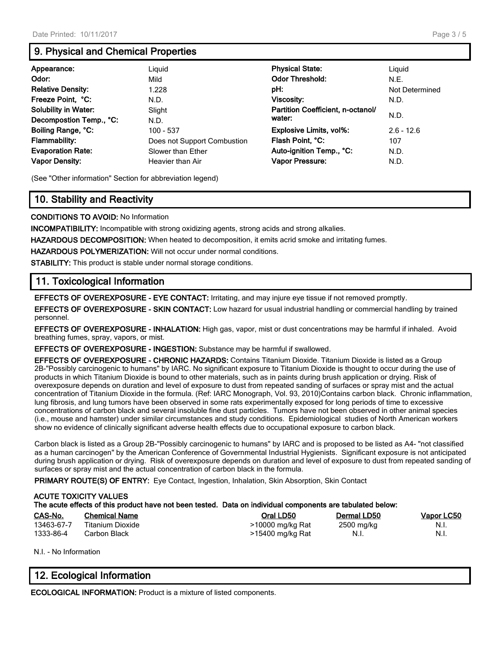# **9. Physical and Chemical Properties**

| Appearance:                 | Liquid                      | <b>Physical State:</b>            | Liguid         |
|-----------------------------|-----------------------------|-----------------------------------|----------------|
| Odor:                       | Mild                        | <b>Odor Threshold:</b>            | N.E.           |
| <b>Relative Density:</b>    | 1.228                       | pH:                               | Not Determined |
| Freeze Point, °C:           | N.D.                        | <b>Viscosity:</b>                 | N.D.           |
| <b>Solubility in Water:</b> | Slight                      | Partition Coefficient, n-octanol/ |                |
| Decompostion Temp., °C:     | N.D.                        | water:                            | N.D.           |
| Boiling Range, °C:          | $100 - 537$                 | <b>Explosive Limits, vol%:</b>    | $2.6 - 12.6$   |
| <b>Flammability:</b>        | Does not Support Combustion | Flash Point, °C:                  | 107            |
| <b>Evaporation Rate:</b>    | Slower than Ether           | Auto-ignition Temp., °C:          | N.D.           |
| <b>Vapor Density:</b>       | Heavier than Air            | Vapor Pressure:                   | N.D.           |

(See "Other information" Section for abbreviation legend)

# **10. Stability and Reactivity**

**CONDITIONS TO AVOID:** No Information

**INCOMPATIBILITY:** Incompatible with strong oxidizing agents, strong acids and strong alkalies.

**HAZARDOUS DECOMPOSITION:** When heated to decomposition, it emits acrid smoke and irritating fumes.

**HAZARDOUS POLYMERIZATION:** Will not occur under normal conditions.

**STABILITY:** This product is stable under normal storage conditions.

# **11. Toxicological Information**

**EFFECTS OF OVEREXPOSURE - EYE CONTACT:** Irritating, and may injure eye tissue if not removed promptly.

**EFFECTS OF OVEREXPOSURE - SKIN CONTACT:** Low hazard for usual industrial handling or commercial handling by trained personnel.

**EFFECTS OF OVEREXPOSURE - INHALATION:** High gas, vapor, mist or dust concentrations may be harmful if inhaled. Avoid breathing fumes, spray, vapors, or mist.

**EFFECTS OF OVEREXPOSURE - INGESTION:** Substance may be harmful if swallowed.

**EFFECTS OF OVEREXPOSURE - CHRONIC HAZARDS:** Contains Titanium Dioxide. Titanium Dioxide is listed as a Group 2B-"Possibly carcinogenic to humans" by IARC. No significant exposure to Titanium Dioxide is thought to occur during the use of products in which Titanium Dioxide is bound to other materials, such as in paints during brush application or drying. Risk of overexposure depends on duration and level of exposure to dust from repeated sanding of surfaces or spray mist and the actual concentration of Titanium Dioxide in the formula. (Ref: IARC Monograph, Vol. 93, 2010)Contains carbon black. Chronic inflammation, lung fibrosis, and lung tumors have been observed in some rats experimentally exposed for long periods of time to excessive concentrations of carbon black and several insoluble fine dust particles. Tumors have not been observed in other animal species (i.e., mouse and hamster) under similar circumstances and study conditions. Epidemiological studies of North American workers show no evidence of clinically significant adverse health effects due to occupational exposure to carbon black.

Carbon black is listed as a Group 2B-"Possibly carcinogenic to humans" by IARC and is proposed to be listed as A4- "not classified as a human carcinogen" by the American Conference of Governmental Industrial Hygienists. Significant exposure is not anticipated during brush application or drying. Risk of overexposure depends on duration and level of exposure to dust from repeated sanding of surfaces or spray mist and the actual concentration of carbon black in the formula.

**PRIMARY ROUTE(S) OF ENTRY:** Eye Contact, Ingestion, Inhalation, Skin Absorption, Skin Contact

| <b>ACUTE TOXICITY VALUES</b><br>The acute effects of this product have not been tested. Data on individual components are tabulated below: |                                  |                                      |                    |              |  |
|--------------------------------------------------------------------------------------------------------------------------------------------|----------------------------------|--------------------------------------|--------------------|--------------|--|
| CAS-No.                                                                                                                                    | <b>Chemical Name</b>             | Oral LD50                            | Dermal LD50        | Vapor LC50   |  |
| 13463-67-7<br>1333-86-4                                                                                                                    | Titanium Dioxide<br>Carbon Black | >10000 mg/kg Rat<br>>15400 mg/kg Rat | 2500 mg/kg<br>N.I. | N.I.<br>N.I. |  |

N.I. - No Information

# **12. Ecological Information**

**ECOLOGICAL INFORMATION:** Product is a mixture of listed components.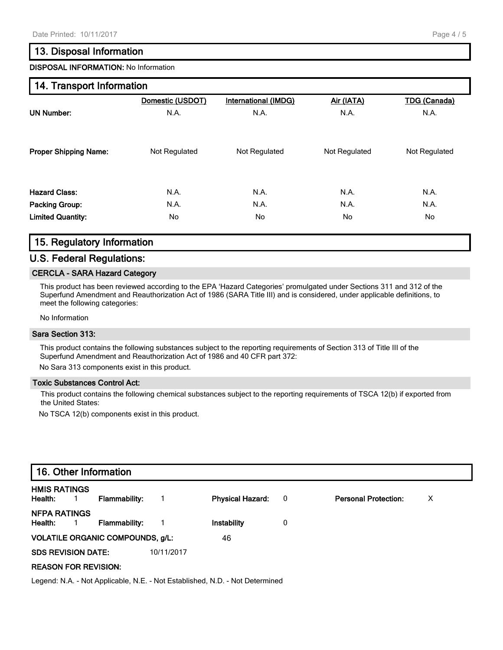### **13. Disposal Information**

**DISPOSAL INFORMATION:** No Information

### **14. Transport Information**

|                              | Domestic (USDOT) | International (IMDG) | Air (IATA)    | <b>TDG (Canada)</b> |
|------------------------------|------------------|----------------------|---------------|---------------------|
| <b>UN Number:</b>            | N.A.             | N.A.                 | N.A.          | N.A.                |
| <b>Proper Shipping Name:</b> | Not Regulated    | Not Regulated        | Not Regulated | Not Regulated       |
| <b>Hazard Class:</b>         | N.A.             | N.A.                 | N.A.          | N.A.                |
| Packing Group:               | N.A.             | N.A.                 | N.A.          | N.A.                |
| <b>Limited Quantity:</b>     | No               | No                   | No.           | No                  |

# **15. Regulatory Information**

### **U.S. Federal Regulations:**

### **CERCLA - SARA Hazard Category**

This product has been reviewed according to the EPA 'Hazard Categories' promulgated under Sections 311 and 312 of the Superfund Amendment and Reauthorization Act of 1986 (SARA Title III) and is considered, under applicable definitions, to meet the following categories:

No Information

#### **Sara Section 313:**

This product contains the following substances subject to the reporting requirements of Section 313 of Title III of the Superfund Amendment and Reauthorization Act of 1986 and 40 CFR part 372:

No Sara 313 components exist in this product.

### **Toxic Substances Control Act:**

This product contains the following chemical substances subject to the reporting requirements of TSCA 12(b) if exported from the United States:

No TSCA 12(b) components exist in this product.

| 16. Other Information                           |            |                         |                          |                             |   |
|-------------------------------------------------|------------|-------------------------|--------------------------|-----------------------------|---|
| <b>HMIS RATINGS</b><br>Health:<br>Flammability: |            | <b>Physical Hazard:</b> | $\overline{\phantom{0}}$ | <b>Personal Protection:</b> | х |
| NFPA RATINGS<br>Health:<br><b>Flammability:</b> |            | Instability             | 0                        |                             |   |
| <b>VOLATILE ORGANIC COMPOUNDS, g/L:</b>         |            | 46                      |                          |                             |   |
| <b>SDS REVISION DATE:</b>                       | 10/11/2017 |                         |                          |                             |   |
| <b>REASON FOR REVISION:</b>                     |            |                         |                          |                             |   |

Legend: N.A. - Not Applicable, N.E. - Not Established, N.D. - Not Determined